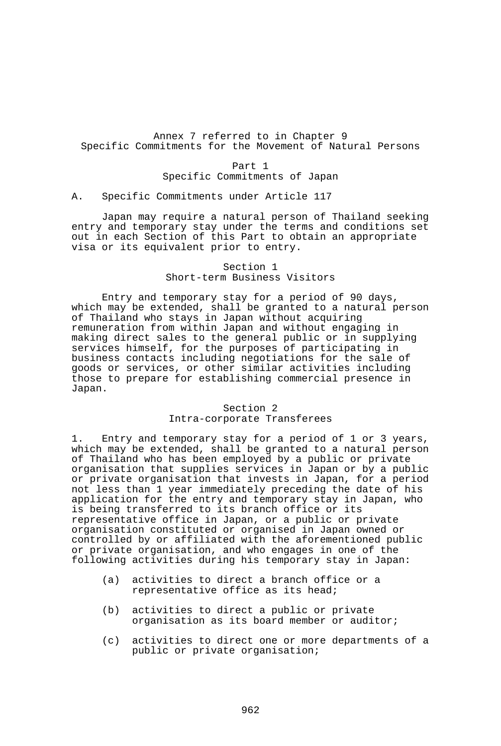## Annex 7 referred to in Chapter 9 Specific Commitments for the Movement of Natural Persons

Part 1 Specific Commitments of Japan

### A. Specific Commitments under Article 117

 Japan may require a natural person of Thailand seeking entry and temporary stay under the terms and conditions set out in each Section of this Part to obtain an appropriate visa or its equivalent prior to entry.

## Section 1 Short-term Business Visitors

 Entry and temporary stay for a period of 90 days, which may be extended, shall be granted to a natural person of Thailand who stays in Japan without acquiring remuneration from within Japan and without engaging in making direct sales to the general public or in supplying services himself, for the purposes of participating in business contacts including negotiations for the sale of goods or services, or other similar activities including those to prepare for establishing commercial presence in Japan.

# Section 2

## Intra-corporate Transferees

1. Entry and temporary stay for a period of 1 or 3 years, which may be extended, shall be granted to a natural person of Thailand who has been employed by a public or private organisation that supplies services in Japan or by a public or private organisation that invests in Japan, for a period not less than 1 year immediately preceding the date of his application for the entry and temporary stay in Japan, who is being transferred to its branch office or its representative office in Japan, or a public or private organisation constituted or organised in Japan owned or controlled by or affiliated with the aforementioned public or private organisation, and who engages in one of the following activities during his temporary stay in Japan:

- (a) activities to direct a branch office or a representative office as its head;
- (b) activities to direct a public or private organisation as its board member or auditor;
- (c) activities to direct one or more departments of a public or private organisation;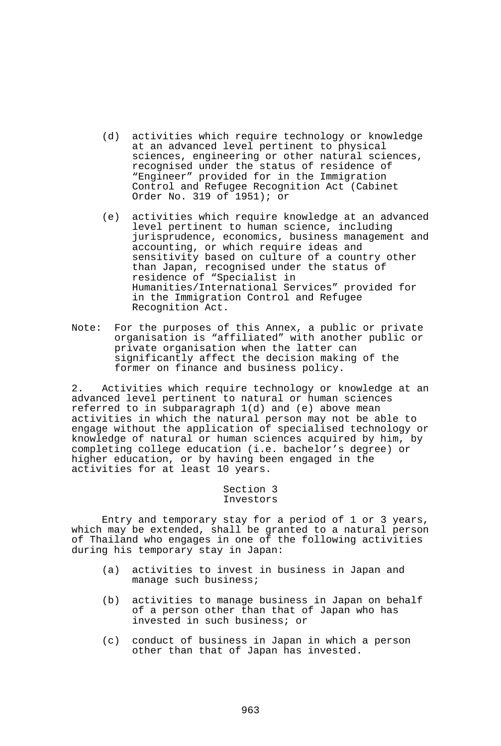- (d) activities which require technology or knowledge at an advanced level pertinent to physical sciences, engineering or other natural sciences, recognised under the status of residence of "Engineer" provided for in the Immigration Control and Refugee Recognition Act (Cabinet Order No. 319 of 1951); or
- (e) activities which require knowledge at an advanced level pertinent to human science, including jurisprudence, economics, business management and accounting, or which require ideas and sensitivity based on culture of a country other than Japan, recognised under the status of residence of "Specialist in Humanities/International Services" provided for in the Immigration Control and Refugee Recognition Act.
- Note: For the purposes of this Annex, a public or private organisation is "affiliated" with another public or private organisation when the latter can significantly affect the decision making of the former on finance and business policy.

2. Activities which require technology or knowledge at an advanced level pertinent to natural or human sciences referred to in subparagraph 1(d) and (e) above mean activities in which the natural person may not be able to engage without the application of specialised technology or knowledge of natural or human sciences acquired by him, by completing college education (i.e. bachelor's degree) or higher education, or by having been engaged in the activities for at least 10 years.

# Section 3 Investors

 Entry and temporary stay for a period of 1 or 3 years, which may be extended, shall be granted to a natural person of Thailand who engages in one of the following activities during his temporary stay in Japan:

- (a) activities to invest in business in Japan and manage such business;
- (b) activities to manage business in Japan on behalf of a person other than that of Japan who has invested in such business; or
- (c) conduct of business in Japan in which a person other than that of Japan has invested.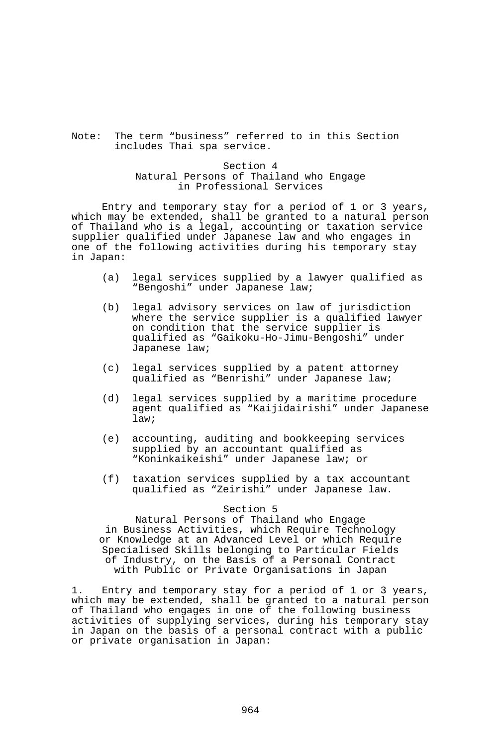# Note: The term "business" referred to in this Section includes Thai spa service.

## Section 4 Natural Persons of Thailand who Engage in Professional Services

 Entry and temporary stay for a period of 1 or 3 years, which may be extended, shall be granted to a natural person of Thailand who is a legal, accounting or taxation service supplier qualified under Japanese law and who engages in one of the following activities during his temporary stay in Japan:

- (a) legal services supplied by a lawyer qualified as "Bengoshi" under Japanese law;
- (b) legal advisory services on law of jurisdiction where the service supplier is a qualified lawyer on condition that the service supplier is qualified as "Gaikoku-Ho-Jimu-Bengoshi" under Japanese law;
- (c) legal services supplied by a patent attorney qualified as "Benrishi" under Japanese law;
- (d) legal services supplied by a maritime procedure agent qualified as "Kaijidairishi" under Japanese law;
- (e) accounting, auditing and bookkeeping services supplied by an accountant qualified as "Koninkaikeishi" under Japanese law; or
- (f) taxation services supplied by a tax accountant qualified as "Zeirishi" under Japanese law.

### Section 5

Natural Persons of Thailand who Engage in Business Activities, which Require Technology or Knowledge at an Advanced Level or which Require Specialised Skills belonging to Particular Fields of Industry, on the Basis of a Personal Contract with Public or Private Organisations in Japan

1. Entry and temporary stay for a period of 1 or 3 years, which may be extended, shall be granted to a natural person of Thailand who engages in one of the following business activities of supplying services, during his temporary stay in Japan on the basis of a personal contract with a public or private organisation in Japan: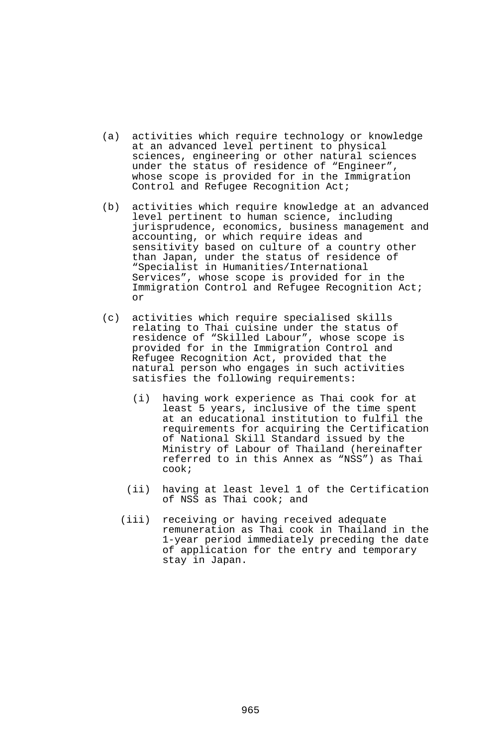- (a) activities which require technology or knowledge at an advanced level pertinent to physical sciences, engineering or other natural sciences under the status of residence of "Engineer", whose scope is provided for in the Immigration Control and Refugee Recognition Act;
- (b) activities which require knowledge at an advanced level pertinent to human science, including jurisprudence, economics, business management and accounting, or which require ideas and sensitivity based on culture of a country other than Japan, under the status of residence of "Specialist in Humanities/International Services", whose scope is provided for in the Immigration Control and Refugee Recognition Act; or
- (c) activities which require specialised skills relating to Thai cuisine under the status of residence of "Skilled Labour", whose scope is provided for in the Immigration Control and Refugee Recognition Act, provided that the natural person who engages in such activities satisfies the following requirements:
	- (i) having work experience as Thai cook for at least 5 years, inclusive of the time spent at an educational institution to fulfil the requirements for acquiring the Certification of National Skill Standard issued by the Ministry of Labour of Thailand (hereinafter referred to in this Annex as "NSS") as Thai cook;
	- (ii) having at least level 1 of the Certification of NSS as Thai cook; and
	- (iii) receiving or having received adequate remuneration as Thai cook in Thailand in the 1-year period immediately preceding the date of application for the entry and temporary stay in Japan.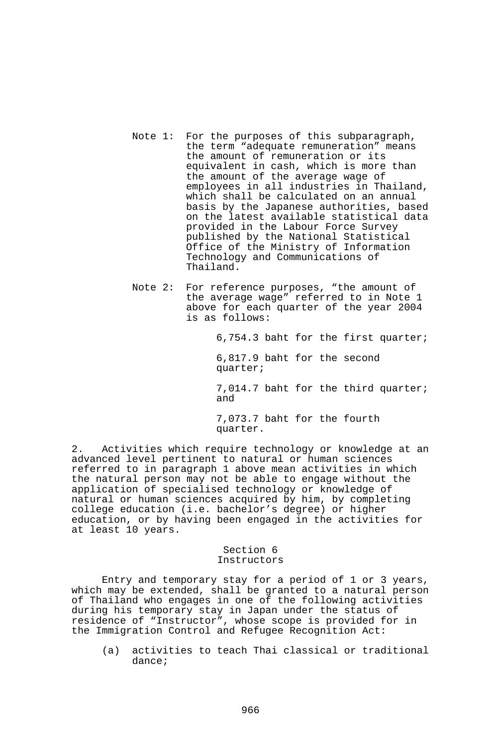- Note 1: For the purposes of this subparagraph, the term "adequate remuneration" means the amount of remuneration or its equivalent in cash, which is more than the amount of the average wage of employees in all industries in Thailand, which shall be calculated on an annual basis by the Japanese authorities, based on the latest available statistical data provided in the Labour Force Survey published by the National Statistical Office of the Ministry of Information Technology and Communications of Thailand.
- Note 2: For reference purposes, "the amount of the average wage" referred to in Note 1 above for each quarter of the year 2004 is as follows:

6,754.3 baht for the first quarter;

 6,817.9 baht for the second quarter;

 7,014.7 baht for the third quarter; and

 7,073.7 baht for the fourth quarter.

2. Activities which require technology or knowledge at an advanced level pertinent to natural or human sciences referred to in paragraph 1 above mean activities in which the natural person may not be able to engage without the application of specialised technology or knowledge of natural or human sciences acquired by him, by completing college education (i.e. bachelor's degree) or higher education, or by having been engaged in the activities for at least 10 years.

### Section 6 Instructors

 Entry and temporary stay for a period of 1 or 3 years, which may be extended, shall be granted to a natural person of Thailand who engages in one of the following activities during his temporary stay in Japan under the status of residence of "Instructor", whose scope is provided for in the Immigration Control and Refugee Recognition Act:

 (a) activities to teach Thai classical or traditional dance;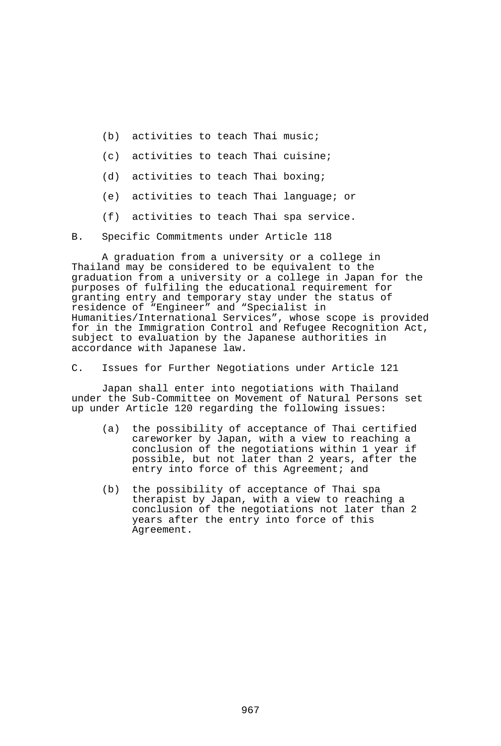- (b) activities to teach Thai music;
- (c) activities to teach Thai cuisine;
- (d) activities to teach Thai boxing;
- (e) activities to teach Thai language; or
- (f) activities to teach Thai spa service.

B. Specific Commitments under Article 118

 A graduation from a university or a college in Thailand may be considered to be equivalent to the graduation from a university or a college in Japan for the purposes of fulfiling the educational requirement for granting entry and temporary stay under the status of residence of "Engineer" and "Specialist in Humanities/International Services", whose scope is provided for in the Immigration Control and Refugee Recognition Act, subject to evaluation by the Japanese authorities in accordance with Japanese law.

C. Issues for Further Negotiations under Article 121

 Japan shall enter into negotiations with Thailand under the Sub-Committee on Movement of Natural Persons set up under Article 120 regarding the following issues:

- (a) the possibility of acceptance of Thai certified careworker by Japan, with a view to reaching a conclusion of the negotiations within 1 year if possible, but not later than 2 years, after the entry into force of this Agreement; and
- (b) the possibility of acceptance of Thai spa therapist by Japan, with a view to reaching a conclusion of the negotiations not later than 2 years after the entry into force of this Agreement.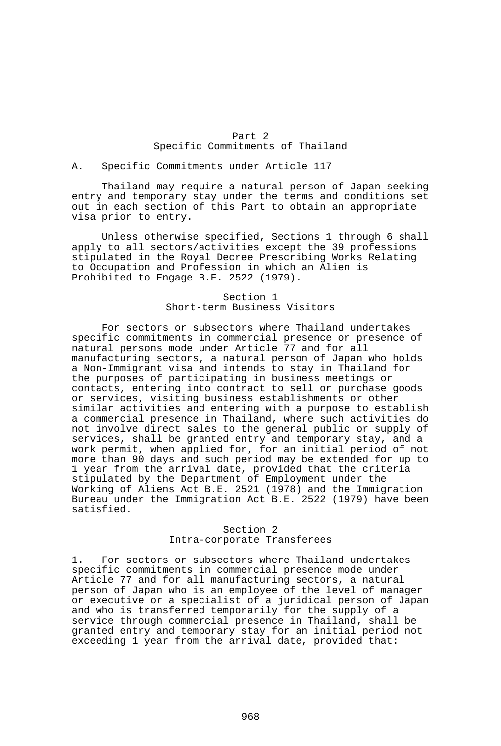### Part 2 Specific Commitments of Thailand

#### A. Specific Commitments under Article 117

 Thailand may require a natural person of Japan seeking entry and temporary stay under the terms and conditions set out in each section of this Part to obtain an appropriate visa prior to entry.

 Unless otherwise specified, Sections 1 through 6 shall apply to all sectors/activities except the 39 professions stipulated in the Royal Decree Prescribing Works Relating to Occupation and Profession in which an Alien is Prohibited to Engage B.E. 2522 (1979).

## Section 1 Short-term Business Visitors

 For sectors or subsectors where Thailand undertakes specific commitments in commercial presence or presence of natural persons mode under Article 77 and for all manufacturing sectors, a natural person of Japan who holds a Non-Immigrant visa and intends to stay in Thailand for the purposes of participating in business meetings or contacts, entering into contract to sell or purchase goods or services, visiting business establishments or other similar activities and entering with a purpose to establish a commercial presence in Thailand, where such activities do not involve direct sales to the general public or supply of services, shall be granted entry and temporary stay, and a work permit, when applied for, for an initial period of not more than 90 days and such period may be extended for up to 1 year from the arrival date, provided that the criteria stipulated by the Department of Employment under the Working of Aliens Act B.E. 2521 (1978) and the Immigration Bureau under the Immigration Act B.E. 2522 (1979) have been satisfied.

### Section 2 Intra-corporate Transferees

1. For sectors or subsectors where Thailand undertakes specific commitments in commercial presence mode under Article 77 and for all manufacturing sectors, a natural person of Japan who is an employee of the level of manager or executive or a specialist of a juridical person of Japan and who is transferred temporarily for the supply of a service through commercial presence in Thailand, shall be granted entry and temporary stay for an initial period not exceeding 1 year from the arrival date, provided that: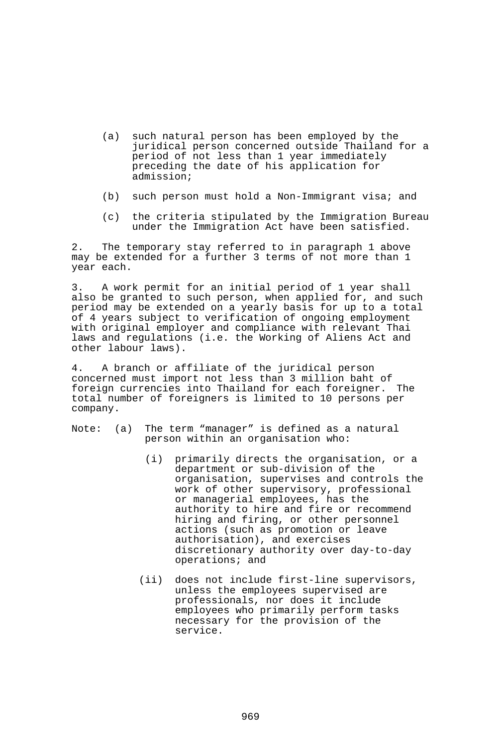- (a) such natural person has been employed by the juridical person concerned outside Thailand for a period of not less than 1 year immediately preceding the date of his application for admission;
- (b) such person must hold a Non-Immigrant visa; and
- (c) the criteria stipulated by the Immigration Bureau under the Immigration Act have been satisfied.

2. The temporary stay referred to in paragraph 1 above may be extended for a further 3 terms of not more than 1 year each.

3. A work permit for an initial period of 1 year shall also be granted to such person, when applied for, and such period may be extended on a yearly basis for up to a total of 4 years subject to verification of ongoing employment with original employer and compliance with relevant Thai laws and regulations (i.e. the Working of Aliens Act and other labour laws).

4. A branch or affiliate of the juridical person concerned must import not less than 3 million baht of foreign currencies into Thailand for each foreigner. total number of foreigners is limited to 10 persons per company.

- Note: (a) The term "manager" is defined as a natural person within an organisation who:
	- (i) primarily directs the organisation, or a department or sub-division of the organisation, supervises and controls the work of other supervisory, professional or managerial employees, has the authority to hire and fire or recommend hiring and firing, or other personnel actions (such as promotion or leave authorisation), and exercises discretionary authority over day-to-day operations; and
	- (ii) does not include first-line supervisors, unless the employees supervised are professionals, nor does it include employees who primarily perform tasks necessary for the provision of the service.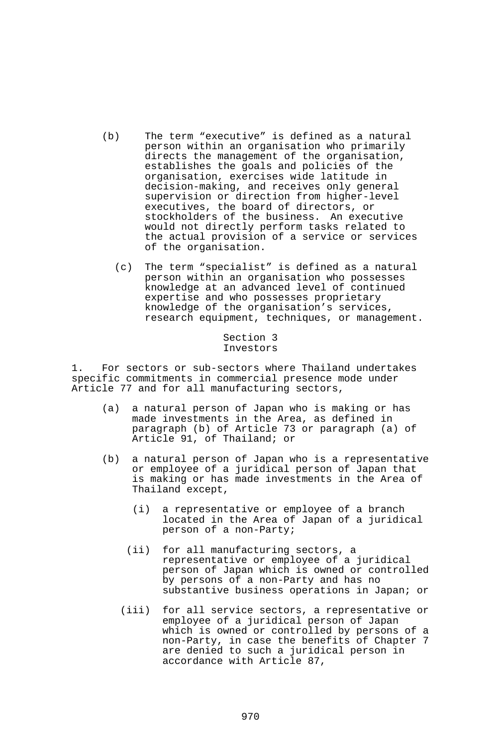- (b) The term "executive" is defined as a natural person within an organisation who primarily directs the management of the organisation, establishes the goals and policies of the organisation, exercises wide latitude in decision-making, and receives only general supervision or direction from higher-level executives, the board of directors, or stockholders of the business. An executive would not directly perform tasks related to the actual provision of a service or services of the organisation.
	- (c) The term "specialist" is defined as a natural person within an organisation who possesses knowledge at an advanced level of continued expertise and who possesses proprietary knowledge of the organisation's services, research equipment, techniques, or management.

### Section 3 Investors

1. For sectors or sub-sectors where Thailand undertakes specific commitments in commercial presence mode under Article 77 and for all manufacturing sectors,

- (a) a natural person of Japan who is making or has made investments in the Area, as defined in paragraph (b) of Article 73 or paragraph (a) of Article 91, of Thailand; or
- (b) a natural person of Japan who is a representative or employee of a juridical person of Japan that is making or has made investments in the Area of Thailand except,
	- (i) a representative or employee of a branch located in the Area of Japan of a juridical person of a non-Party;
	- (ii) for all manufacturing sectors, a representative or employee of a juridical person of Japan which is owned or controlled by persons of a non-Party and has no substantive business operations in Japan; or
	- (iii) for all service sectors, a representative or employee of a juridical person of Japan which is owned or controlled by persons of a non-Party, in case the benefits of Chapter 7 are denied to such a juridical person in accordance with Article 87,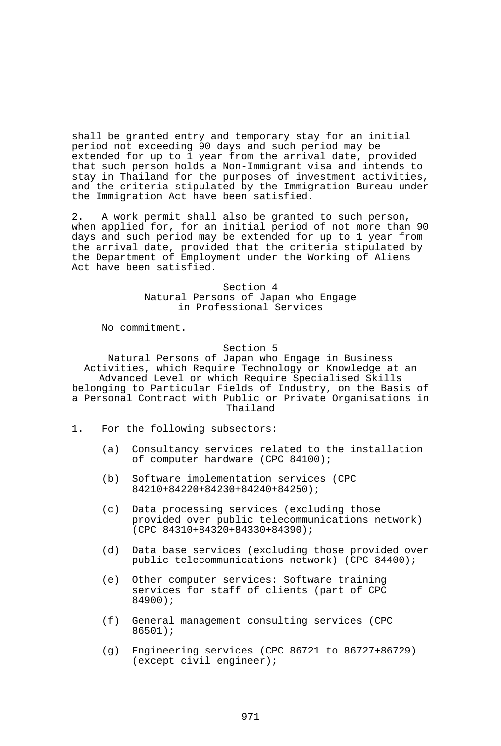shall be granted entry and temporary stay for an initial period not exceeding 90 days and such period may be extended for up to 1 year from the arrival date, provided that such person holds a Non-Immigrant visa and intends to stay in Thailand for the purposes of investment activities, and the criteria stipulated by the Immigration Bureau under the Immigration Act have been satisfied.

2. A work permit shall also be granted to such person, when applied for, for an initial period of not more than 90 days and such period may be extended for up to 1 year from the arrival date, provided that the criteria stipulated by the Department of Employment under the Working of Aliens Act have been satisfied.

> Section 4 Natural Persons of Japan who Engage in Professional Services

No commitment.

#### Section 5

Natural Persons of Japan who Engage in Business Activities, which Require Technology or Knowledge at an Advanced Level or which Require Specialised Skills belonging to Particular Fields of Industry, on the Basis of a Personal Contract with Public or Private Organisations in Thailand

- 1. For the following subsectors:
	- (a) Consultancy services related to the installation of computer hardware (CPC 84100);
	- (b) Software implementation services (CPC 84210+84220+84230+84240+84250);
	- (c) Data processing services (excluding those provided over public telecommunications network) (CPC 84310+84320+84330+84390);
	- (d) Data base services (excluding those provided over public telecommunications network) (CPC 84400);
	- (e) Other computer services: Software training services for staff of clients (part of CPC 84900);
	- (f) General management consulting services (CPC 86501);
	- (g) Engineering services (CPC 86721 to 86727+86729) (except civil engineer);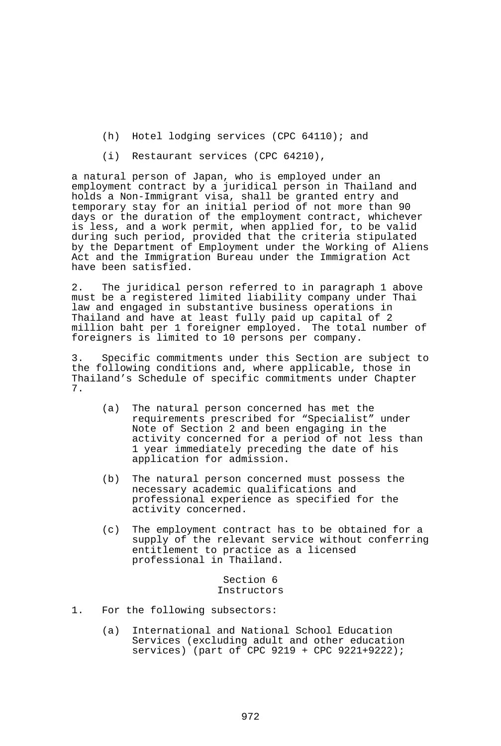- (h) Hotel lodging services (CPC 64110); and
- (i) Restaurant services (CPC 64210),

a natural person of Japan, who is employed under an employment contract by a juridical person in Thailand and holds a Non-Immigrant visa, shall be granted entry and temporary stay for an initial period of not more than 90 days or the duration of the employment contract, whichever is less, and a work permit, when applied for, to be valid during such period, provided that the criteria stipulated by the Department of Employment under the Working of Aliens Act and the Immigration Bureau under the Immigration Act have been satisfied.

2. The juridical person referred to in paragraph 1 above must be a registered limited liability company under Thai law and engaged in substantive business operations in Thailand and have at least fully paid up capital of 2 million baht per 1 foreigner employed. The total number of foreigners is limited to 10 persons per company.

3. Specific commitments under this Section are subject to the following conditions and, where applicable, those in Thailand's Schedule of specific commitments under Chapter 7.

- (a) The natural person concerned has met the requirements prescribed for "Specialist" under Note of Section 2 and been engaging in the activity concerned for a period of not less than 1 year immediately preceding the date of his application for admission.
- (b) The natural person concerned must possess the necessary academic qualifications and professional experience as specified for the activity concerned.
- (c) The employment contract has to be obtained for a supply of the relevant service without conferring entitlement to practice as a licensed professional in Thailand.

Section 6 Instructors

- 1. For the following subsectors:
	- (a) International and National School Education Services (excluding adult and other education services) (part of CPC 9219 + CPC 9221+9222);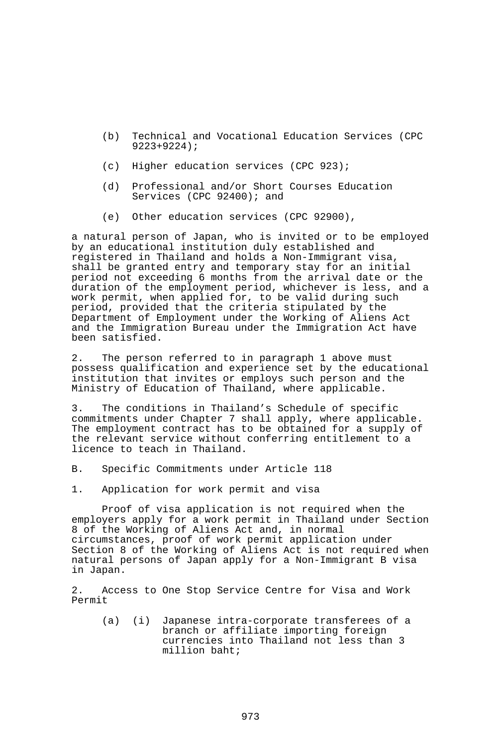- (b) Technical and Vocational Education Services (CPC 9223+9224);
- (c) Higher education services (CPC 923);
- (d) Professional and/or Short Courses Education Services (CPC 92400); and
- (e) Other education services (CPC 92900),

a natural person of Japan, who is invited or to be employed by an educational institution duly established and registered in Thailand and holds a Non-Immigrant visa, shall be granted entry and temporary stay for an initial period not exceeding 6 months from the arrival date or the duration of the employment period, whichever is less, and a work permit, when applied for, to be valid during such period, provided that the criteria stipulated by the Department of Employment under the Working of Aliens Act and the Immigration Bureau under the Immigration Act have been satisfied.

2. The person referred to in paragraph 1 above must possess qualification and experience set by the educational institution that invites or employs such person and the Ministry of Education of Thailand, where applicable.

3. The conditions in Thailand's Schedule of specific commitments under Chapter 7 shall apply, where applicable. The employment contract has to be obtained for a supply of the relevant service without conferring entitlement to a licence to teach in Thailand.

- B. Specific Commitments under Article 118
- 1. Application for work permit and visa

 Proof of visa application is not required when the employers apply for a work permit in Thailand under Section 8 of the Working of Aliens Act and, in normal circumstances, proof of work permit application under Section 8 of the Working of Aliens Act is not required when natural persons of Japan apply for a Non-Immigrant B visa in Japan.

2. Access to One Stop Service Centre for Visa and Work Permit

 (a) (i) Japanese intra-corporate transferees of a branch or affiliate importing foreign currencies into Thailand not less than 3 million baht;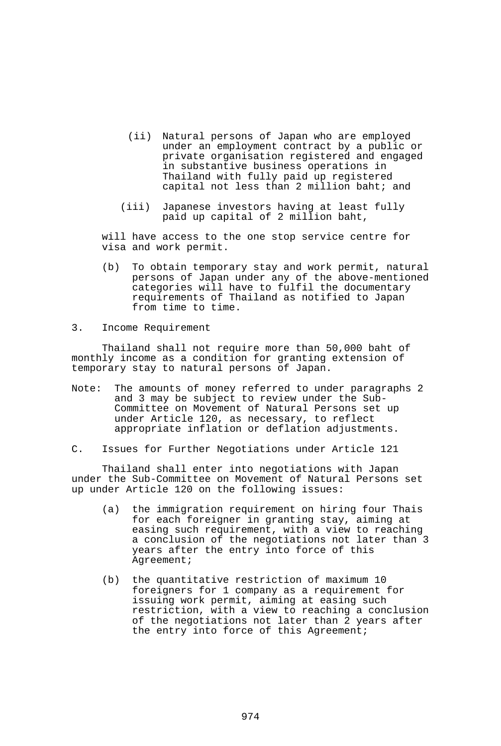- (ii) Natural persons of Japan who are employed under an employment contract by a public or private organisation registered and engaged in substantive business operations in Thailand with fully paid up registered capital not less than 2 million baht; and
- (iii) Japanese investors having at least fully paid up capital of 2 million baht,

 will have access to the one stop service centre for visa and work permit.

- (b) To obtain temporary stay and work permit, natural persons of Japan under any of the above-mentioned categories will have to fulfil the documentary requirements of Thailand as notified to Japan from time to time.
- 3. Income Requirement

 Thailand shall not require more than 50,000 baht of monthly income as a condition for granting extension of temporary stay to natural persons of Japan.

- Note: The amounts of money referred to under paragraphs 2 and 3 may be subject to review under the Sub-Committee on Movement of Natural Persons set up under Article 120, as necessary, to reflect appropriate inflation or deflation adjustments.
- C. Issues for Further Negotiations under Article 121

 Thailand shall enter into negotiations with Japan under the Sub-Committee on Movement of Natural Persons set up under Article 120 on the following issues:

- (a) the immigration requirement on hiring four Thais for each foreigner in granting stay, aiming at easing such requirement, with a view to reaching a conclusion of the negotiations not later than 3 years after the entry into force of this Agreement;
- (b) the quantitative restriction of maximum 10 foreigners for 1 company as a requirement for issuing work permit, aiming at easing such restriction, with a view to reaching a conclusion of the negotiations not later than 2 years after the entry into force of this Agreement;